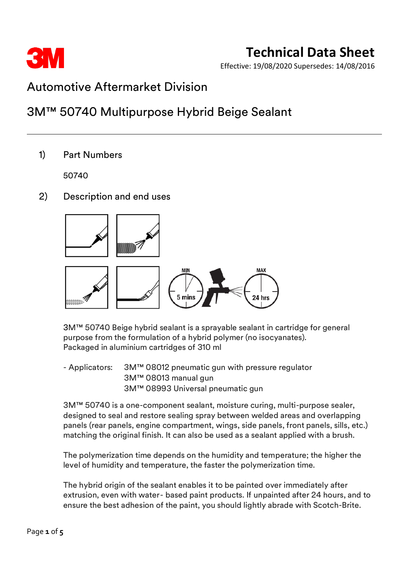

Effective: 19/08/2020 Supersedes: 14/08/2016

## Automotive Aftermarket Division

## 3M™ 50740 Multipurpose Hybrid Beige Sealant

1) Part Numbers

50740

2) Description and end uses



3M™ 50740 Beige hybrid sealant is a sprayable sealant in cartridge for general purpose from the formulation of a hybrid polymer (no isocyanates). Packaged in aluminium cartridges of 310 ml

- Applicators: 3M™ 08012 pneumatic gun with pressure regulator 3M™ 08013 manual gun 3M™ 08993 Universal pneumatic gun

3M™ 50740 is a one-component sealant, moisture curing, multi-purpose sealer, designed to seal and restore sealing spray between welded areas and overlapping panels (rear panels, engine compartment, wings, side panels, front panels, sills, etc.) matching the original finish. It can also be used as a sealant applied with a brush.

The polymerization time depends on the humidity and temperature; the higher the level of humidity and temperature, the faster the polymerization time.

The hybrid origin of the sealant enables it to be painted over immediately after extrusion, even with water- based paint products. If unpainted after 24 hours, and to ensure the best adhesion of the paint, you should lightly abrade with Scotch-Brite.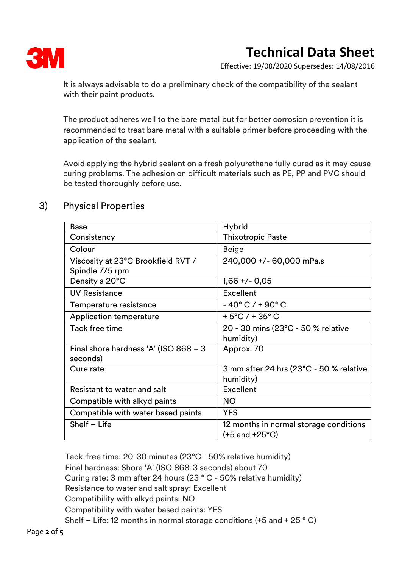

# **Technical Data Sheet**

Effective: 19/08/2020 Supersedes: 14/08/2016

It is always advisable to do a preliminary check of the compatibility of the sealant with their paint products.

The product adheres well to the bare metal but for better corrosion prevention it is recommended to treat bare metal with a suitable primer before proceeding with the application of the sealant.

Avoid applying the hybrid sealant on a fresh polyurethane fully cured as it may cause curing problems. The adhesion on difficult materials such as PE, PP and PVC should be tested thoroughly before use.

## 3) Physical Properties

| <b>Base</b>                             | <b>Hybrid</b>                           |  |
|-----------------------------------------|-----------------------------------------|--|
| Consistency                             | <b>Thixotropic Paste</b>                |  |
| Colour                                  | <b>Beige</b>                            |  |
| Viscosity at 23°C Brookfield RVT /      | 240,000 +/- 60,000 mPa.s                |  |
| Spindle 7/5 rpm                         |                                         |  |
| Density a 20°C                          | $1,66 + (-0,05)$                        |  |
| <b>UV Resistance</b>                    | Excellent                               |  |
| Temperature resistance                  | $-40^{\circ}$ C / + 90 $^{\circ}$ C     |  |
| Application temperature                 | $+5^{\circ}$ C / + 35 $^{\circ}$ C      |  |
| <b>Tack free time</b>                   | 20 - 30 mins (23°C - 50 % relative      |  |
|                                         | humidity)                               |  |
| Final shore hardness 'A' (ISO $868 - 3$ | Approx. 70                              |  |
| seconds)                                |                                         |  |
| Cure rate                               | 3 mm after 24 hrs (23°C - 50 % relative |  |
|                                         | humidity)                               |  |
| Resistant to water and salt             | <b>Excellent</b>                        |  |
| Compatible with alkyd paints            | <b>NO</b>                               |  |
| Compatible with water based paints      | <b>YES</b>                              |  |
| Shelf - Life                            | 12 months in normal storage conditions  |  |
|                                         | (+5 and +25°C)                          |  |

Tack-free time: 20-30 minutes (23°C - 50% relative humidity) Final hardness: Shore 'A' (ISO 868-3 seconds) about 70 Curing rate: 3 mm after 24 hours (23 ° C - 50% relative humidity) Resistance to water and salt spray: Excellent Compatibility with alkyd paints: NO Compatibility with water based paints: YES Shelf – Life: 12 months in normal storage conditions (+5 and + 25 ° C)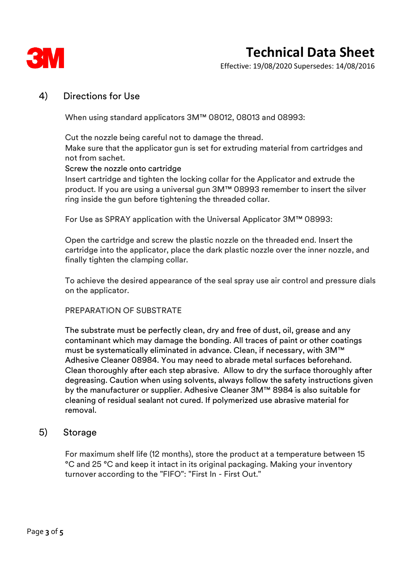

## **Technical Data Sheet**

Effective: 19/08/2020 Supersedes: 14/08/2016

### 4) Directions for Use

When using standard applicators 3M™ 08012, 08013 and 08993:

Cut the nozzle being careful not to damage the thread.

Make sure that the applicator gun is set for extruding material from cartridges and not from sachet.

#### Screw the nozzle onto cartridge

Insert cartridge and tighten the locking collar for the Applicator and extrude the product. If you are using a universal gun 3M™ 08993 remember to insert the silver ring inside the gun before tightening the threaded collar.

For Use as SPRAY application with the Universal Applicator 3M™ 08993:

Open the cartridge and screw the plastic nozzle on the threaded end. Insert the cartridge into the applicator, place the dark plastic nozzle over the inner nozzle, and finally tighten the clamping collar.

To achieve the desired appearance of the seal spray use air control and pressure dials on the applicator.

#### PREPARATION OF SUBSTRATE

The substrate must be perfectly clean, dry and free of dust, oil, grease and any contaminant which may damage the bonding. All traces of paint or other coatings must be systematically eliminated in advance. Clean, if necessary, with 3M™ Adhesive Cleaner 08984. You may need to abrade metal surfaces beforehand. Clean thoroughly after each step abrasive. Allow to dry the surface thoroughly after degreasing. Caution when using solvents, always follow the safety instructions given by the manufacturer or supplier. Adhesive Cleaner 3M™ 8984 is also suitable for cleaning of residual sealant not cured. If polymerized use abrasive material for removal.

### 5) Storage

For maximum shelf life (12 months), store the product at a temperature between 15 °C and 25 °C and keep it intact in its original packaging. Making your inventory turnover according to the "FIFO": "First In - First Out."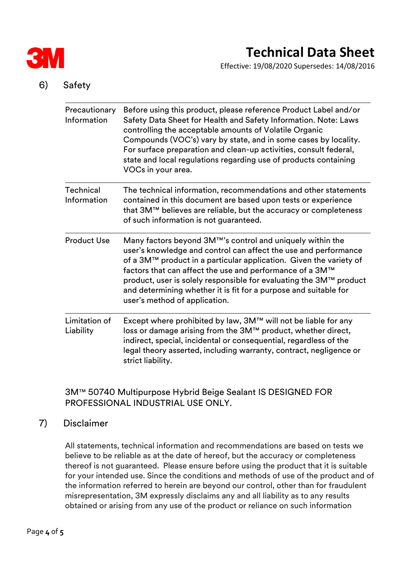

Effective: 19/08/2020 Supersedes: 14/08/2016

## 6) Safety

| Precautionary<br>Information    | Before using this product, please reference Product Label and/or<br>Safety Data Sheet for Health and Safety Information. Note: Laws<br>controlling the acceptable amounts of Volatile Organic<br>Compounds (VOC's) vary by state, and in some cases by locality.<br>For surface preparation and clean-up activities, consult federal,<br>state and local regulations regarding use of products containing<br>VOCs in your area.           |
|---------------------------------|-------------------------------------------------------------------------------------------------------------------------------------------------------------------------------------------------------------------------------------------------------------------------------------------------------------------------------------------------------------------------------------------------------------------------------------------|
| <b>Technical</b><br>Information | The technical information, recommendations and other statements<br>contained in this document are based upon tests or experience<br>that 3M™ believes are reliable, but the accuracy or completeness<br>of such information is not guaranteed.                                                                                                                                                                                            |
| <b>Product Use</b>              | Many factors beyond 3M™'s control and uniquely within the<br>user's knowledge and control can affect the use and performance<br>of a 3M™ product in a particular application. Given the variety of<br>factors that can affect the use and performance of a 3M™<br>product, user is solely responsible for evaluating the 3M™ product<br>and determining whether it is fit for a purpose and suitable for<br>user's method of application. |
| Limitation of<br>Liability      | Except where prohibited by law, 3M™ will not be liable for any<br>loss or damage arising from the 3M™ product, whether direct,<br>indirect, special, incidental or consequential, regardless of the<br>legal theory asserted, including warranty, contract, negligence or<br>strict liability.                                                                                                                                            |

## 3M™ 50740 Multipurpose Hybrid Beige Sealant IS DESIGNED FOR PROFESSIONAL INDUSTRIAL USE ONLY.

## 7) Disclaimer

All statements, technical information and recommendations are based on tests we believe to be reliable as at the date of hereof, but the accuracy or completeness thereof is not guaranteed. Please ensure before using the product that it is suitable for your intended use. Since the conditions and methods of use of the product and of the information referred to herein are beyond our control, other than for fraudulent misrepresentation, 3M expressly disclaims any and all liability as to any results obtained or arising from any use of the product or reliance on such information